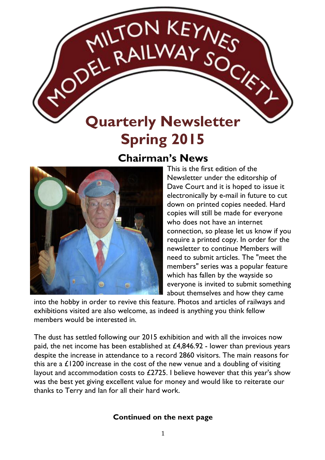# **Quarterly Newsletter Spring 2015**

MILTON KEYNES

### **Chairman's News**



This is the first edition of the Newsletter under the editorship of Dave Court and it is hoped to issue it electronically by e-mail in future to cut down on printed copies needed. Hard copies will still be made for everyone who does not have an internet connection, so please let us know if you require a printed copy. In order for the newsletter to continue Members will need to submit articles. The "meet the members" series was a popular feature which has fallen by the wayside so everyone is invited to submit something about themselves and how they came

into the hobby in order to revive this feature. Photos and articles of railways and exhibitions visited are also welcome, as indeed is anything you think fellow members would be interested in.

The dust has settled following our 2015 exhibition and with all the invoices now paid, the net income has been established at £4,846.92 - lower than previous years despite the increase in attendance to a record 2860 visitors. The main reasons for this are a £1200 increase in the cost of the new venue and a doubling of visiting layout and accommodation costs to £2725. I believe however that this year's show was the best yet giving excellent value for money and would like to reiterate our thanks to Terry and Ian for all their hard work.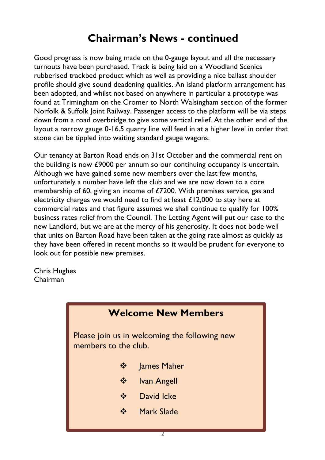# **Chairman's News - continued**

Good progress is now being made on the 0-gauge layout and all the necessary turnouts have been purchased. Track is being laid on a Woodland Scenics rubberised trackbed product which as well as providing a nice ballast shoulder profile should give sound deadening qualities. An island platform arrangement has been adopted, and whilst not based on anywhere in particular a prototype was found at Trimingham on the Cromer to North Walsingham section of the former Norfolk & Suffolk Joint Railway. Passenger access to the platform will be via steps down from a road overbridge to give some vertical relief. At the other end of the layout a narrow gauge 0-16.5 quarry line will feed in at a higher level in order that stone can be tippled into waiting standard gauge wagons.

Our tenancy at Barton Road ends on 31st October and the commercial rent on the building is now £9000 per annum so our continuing occupancy is uncertain. Although we have gained some new members over the last few months, unfortunately a number have left the club and we are now down to a core membership of 60, giving an income of £7200. With premises service, gas and electricity charges we would need to find at least £12,000 to stay here at commercial rates and that figure assumes we shall continue to qualify for 100% business rates relief from the Council. The Letting Agent will put our case to the new Landlord, but we are at the mercy of his generosity. It does not bode well that units on Barton Road have been taken at the going rate almost as quickly as they have been offered in recent months so it would be prudent for everyone to look out for possible new premises.

Chris Hughes Chairman

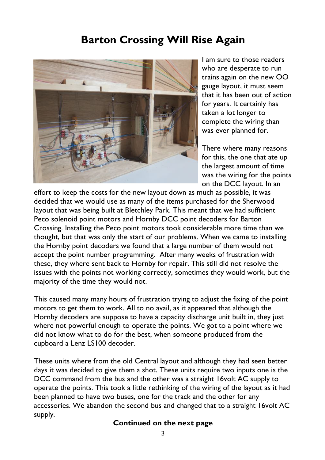# **Barton Crossing Will Rise Again**



I am sure to those readers who are desperate to run trains again on the new OO gauge layout, it must seem that it has been out of action for years. It certainly has taken a lot longer to complete the wiring than was ever planned for.

There where many reasons for this, the one that ate up the largest amount of time was the wiring for the points on the DCC layout. In an

effort to keep the costs for the new layout down as much as possible, it was decided that we would use as many of the items purchased for the Sherwood layout that was being built at Bletchley Park. This meant that we had sufficient Peco solenoid point motors and Hornby DCC point decoders for Barton Crossing. Installing the Peco point motors took considerable more time than we thought, but that was only the start of our problems. When we came to installing the Hornby point decoders we found that a large number of them would not accept the point number programming. After many weeks of frustration with these, they where sent back to Hornby for repair. This still did not resolve the issues with the points not working correctly, sometimes they would work, but the majority of the time they would not.

This caused many many hours of frustration trying to adjust the fixing of the point motors to get them to work. All to no avail, as it appeared that although the Hornby decoders are suppose to have a capacity discharge unit built in, they just where not powerful enough to operate the points. We got to a point where we did not know what to do for the best, when someone produced from the cupboard a Lenz LS100 decoder.

These units where from the old Central layout and although they had seen better days it was decided to give them a shot. These units require two inputs one is the DCC command from the bus and the other was a straight 16volt AC supply to operate the points. This took a little rethinking of the wiring of the layout as it had been planned to have two buses, one for the track and the other for any accessories. We abandon the second bus and changed that to a straight 16volt AC supply.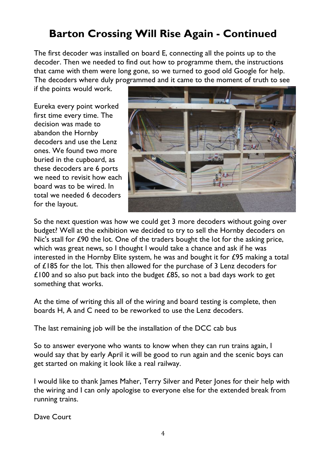# **Barton Crossing Will Rise Again - Continued**

The first decoder was installed on board E, connecting all the points up to the decoder. Then we needed to find out how to programme them, the instructions that came with them were long gone, so we turned to good old Google for help. The decoders where duly programmed and it came to the moment of truth to see

if the points would work.

Eureka every point worked first time every time. The decision was made to abandon the Hornby decoders and use the Lenz ones. We found two more buried in the cupboard, as these decoders are 6 ports we need to revisit how each board was to be wired. In total we needed 6 decoders for the layout.



So the next question was how we could get 3 more decoders without going over budget? Well at the exhibition we decided to try to sell the Hornby decoders on Nic's stall for £90 the lot. One of the traders bought the lot for the asking price, which was great news, so I thought I would take a chance and ask if he was interested in the Hornby Elite system, he was and bought it for £95 making a total of £185 for the lot. This then allowed for the purchase of 3 Lenz decoders for £100 and so also put back into the budget  $£85$ , so not a bad days work to get something that works.

At the time of writing this all of the wiring and board testing is complete, then boards H, A and C need to be reworked to use the Lenz decoders.

The last remaining job will be the installation of the DCC cab bus

So to answer everyone who wants to know when they can run trains again, I would say that by early April it will be good to run again and the scenic boys can get started on making it look like a real railway.

I would like to thank James Maher, Terry Silver and Peter Jones for their help with the wiring and I can only apologise to everyone else for the extended break from running trains.

Dave Court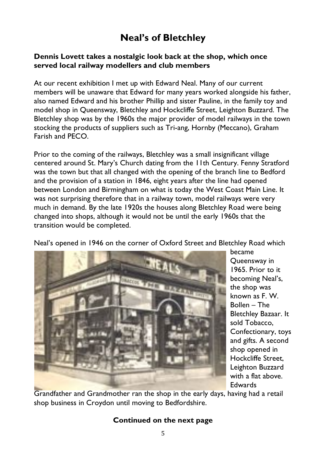### **Neal's of Bletchley**

#### **Dennis Lovett takes a nostalgic look back at the shop, which once served local railway modellers and club members**

At our recent exhibition I met up with Edward Neal. Many of our current members will be unaware that Edward for many years worked alongside his father, also named Edward and his brother Phillip and sister Pauline, in the family toy and model shop in Queensway, Bletchley and Hockcliffe Street, Leighton Buzzard. The Bletchley shop was by the 1960s the major provider of model railways in the town stocking the products of suppliers such as Tri-ang, Hornby (Meccano), Graham Farish and PECO.

Prior to the coming of the railways, Bletchley was a small insignificant village centered around St. Mary's Church dating from the 11th Century. Fenny Stratford was the town but that all changed with the opening of the branch line to Bedford and the provision of a station in 1846, eight years after the line had opened between London and Birmingham on what is today the West Coast Main Line. It was not surprising therefore that in a railway town, model railways were very much in demand. By the late 1920s the houses along Bletchley Road were being changed into shops, although it would not be until the early 1960s that the transition would be completed.

Neal's opened in 1946 on the corner of Oxford Street and Bletchley Road which



became Queensway in 1965. Prior to it becoming Neal's, the shop was known as F. W. Bollen – The Bletchley Bazaar. It sold Tobacco, Confectionary, toys and gifts. A second shop opened in Hockcliffe Street, Leighton Buzzard with a flat above. Edwards

Grandfather and Grandmother ran the shop in the early days, having had a retail shop business in Croydon until moving to Bedfordshire.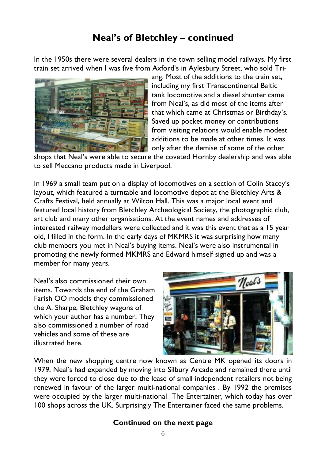### **Neal's of Bletchley – continued**

In the 1950s there were several dealers in the town selling model railways. My first train set arrived when I was five from Axford's in Aylesbury Street, who sold Tri-



ang. Most of the additions to the train set, including my first Transcontinental Baltic tank locomotive and a diesel shunter came from Neal's, as did most of the items after that which came at Christmas or Birthday's. Saved up pocket money or contributions from visiting relations would enable modest additions to be made at other times. It was only after the demise of some of the other

shops that Neal's were able to secure the coveted Hornby dealership and was able to sell Meccano products made in Liverpool.

In 1969 a small team put on a display of locomotives on a section of Colin Stacey's layout, which featured a turntable and locomotive depot at the Bletchley Arts & Crafts Festival, held annually at Wilton Hall. This was a major local event and featured local history from Bletchley Archeological Society, the photographic club, art club and many other organisations. At the event names and addresses of interested railway modellers were collected and it was this event that as a 15 year old, I filled in the form. In the early days of MKMRS it was surprising how many club members you met in Neal's buying items. Neal's were also instrumental in promoting the newly formed MKMRS and Edward himself signed up and was a member for many years.

Neal's also commissioned their own items. Towards the end of the Graham Farish OO models they commissioned the A. Sharpe, Bletchley wagons of which your author has a number. They also commissioned a number of road vehicles and some of these are illustrated here.



When the new shopping centre now known as Centre MK opened its doors in 1979, Neal's had expanded by moving into Silbury Arcade and remained there until they were forced to close due to the lease of small independent retailers not being renewed in favour of the larger multi-national companies . By 1992 the premises were occupied by the larger multi-national The Entertainer, which today has over 100 shops across the UK. Surprisingly The Entertainer faced the same problems.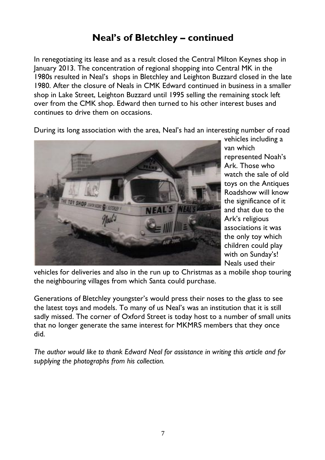### **Neal's of Bletchley – continued**

In renegotiating its lease and as a result closed the Central Milton Keynes shop in January 2013. The concentration of regional shopping into Central MK in the 1980s resulted in Neal's shops in Bletchley and Leighton Buzzard closed in the late 1980. After the closure of Neals in CMK Edward continued in business in a smaller shop in Lake Street, Leighton Buzzard until 1995 selling the remaining stock left over from the CMK shop. Edward then turned to his other interest buses and continues to drive them on occasions.

During its long association with the area, Neal's had an interesting number of road



vehicles including a van which represented Noah's Ark. Those who watch the sale of old toys on the Antiques Roadshow will know the significance of it and that due to the Ark's religious associations it was the only toy which children could play with on Sunday's! Neals used their

vehicles for deliveries and also in the run up to Christmas as a mobile shop touring the neighbouring villages from which Santa could purchase.

Generations of Bletchley youngster's would press their noses to the glass to see the latest toys and models. To many of us Neal's was an institution that it is still sadly missed. The corner of Oxford Street is today host to a number of small units that no longer generate the same interest for MKMRS members that they once did.

*The author would like to thank Edward Neal for assistance in writing this article and for supplying the photographs from his collection.*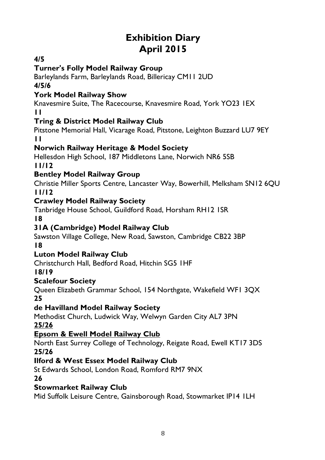# **Exhibition Diary April 2015**

#### **4/5**

#### **Turner's Folly Model Railway Group**

Barleylands Farm, Barleylands Road, Billericay CM11 2UD **4/5/6**

### **York Model Railway Show**

Knavesmire Suite, The Racecourse, Knavesmire Road, York YO23 1EX **11**

#### **Tring & District Model Railway Club**

Pitstone Memorial Hall, Vicarage Road, Pitstone, Leighton Buzzard LU7 9EY **11**

#### **Norwich Railway Heritage & Model Society**

Hellesdon High School, 187 Middletons Lane, Norwich NR6 5SB

**11/12**

#### **Bentley Model Railway Group**

Christie Miller Sports Centre, Lancaster Way, Bowerhill, Melksham SN12 6QU **11/12**

#### **Crawley Model Railway Society**

Tanbridge House School, Guildford Road, Horsham RH12 1SR **18**

#### **31A (Cambridge) Model Railway Club**

Sawston Village College, New Road, Sawston, Cambridge CB22 3BP **18**

#### **Luton Model Railway Club**

Christchurch Hall, Bedford Road, Hitchin SG5 1HF

**18/19**

#### **Scalefour Society**

Queen Elizabeth Grammar School, 154 Northgate, Wakefield WF1 3QX **25**

#### **de Havilland Model Railway Society**

Methodist Church, Ludwick Way, Welwyn Garden City AL7 3PN **25/26**

#### **Epsom & Ewell Model Railway Club**

North East Surrey College of Technology, Reigate Road, Ewell KT17 3DS **25/26**

#### **Ilford & West Essex Model Railway Club**

St Edwards School, London Road, Romford RM7 9NX

**26**

#### **Stowmarket Railway Club**

Mid Suffolk Leisure Centre, Gainsborough Road, Stowmarket IP14 1LH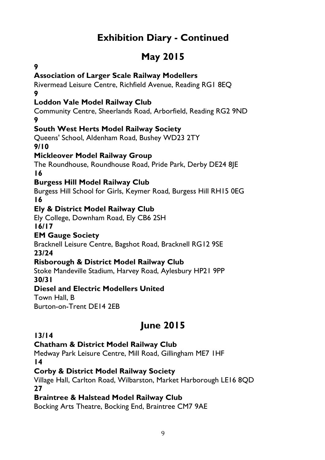# **Exhibition Diary - Continued**

# **May 2015**

#### **9**

#### **Association of Larger Scale Railway Modellers**

Rivermead Leisure Centre, Richfield Avenue, Reading RG1 8EQ **9**

#### **Loddon Vale Model Railway Club**

Community Centre, Sheerlands Road, Arborfield, Reading RG2 9ND **9**

#### **South West Herts Model Railway Society**

Queens' School, Aldenham Road, Bushey WD23 2TY **9/10**

#### **Mickleover Model Railway Group**

The Roundhouse, Roundhouse Road, Pride Park, Derby DE24 8JE **16**

#### **Burgess Hill Model Railway Club**

Burgess Hill School for Girls, Keymer Road, Burgess Hill RH15 0EG **16**

#### **Ely & District Model Railway Club**

Ely College, Downham Road, Ely CB6 2SH

**16/17**

#### **EM Gauge Society**

Bracknell Leisure Centre, Bagshot Road, Bracknell RG12 9SE **23/24**

#### **Risborough & District Model Railway Club**

Stoke Mandeville Stadium, Harvey Road, Aylesbury HP21 9PP **30/31**

#### **Diesel and Electric Modellers United**

Town Hall, B

Burton-on-Trent DE14 2EB

# **June 2015**

#### **13/14**

#### **Chatham & District Model Railway Club**

Medway Park Leisure Centre, Mill Road, Gillingham ME7 1HF **14**

#### **Corby & District Model Railway Society**

Village Hall, Carlton Road, Wilbarston, Market Harborough LE16 8QD **27**

#### **Braintree & Halstead Model Railway Club**

Bocking Arts Theatre, Bocking End, Braintree CM7 9AE